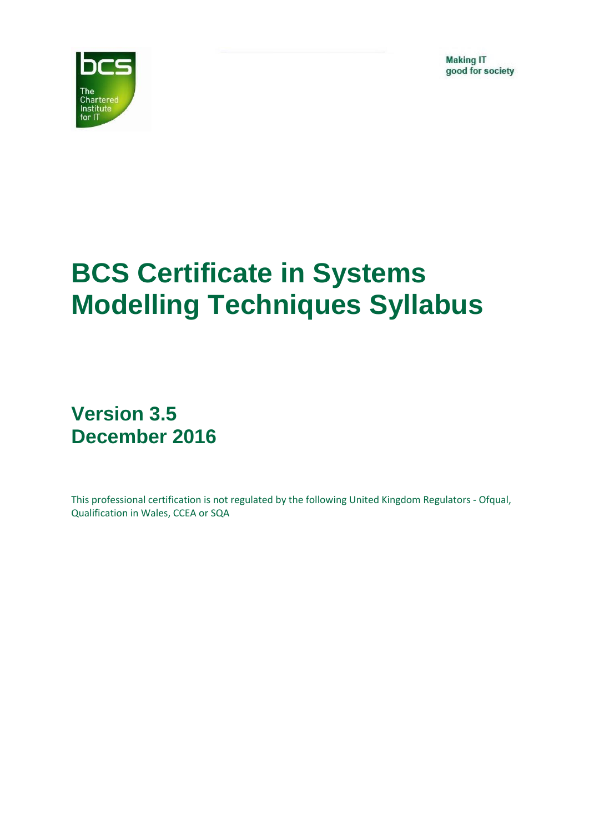**Making IT** good for society



# **BCS Certificate in Systems Modelling Techniques Syllabus**

# **Version 3.5 December 2016**

This professional certification is not regulated by the following United Kingdom Regulators - Ofqual, Qualification in Wales, CCEA or SQA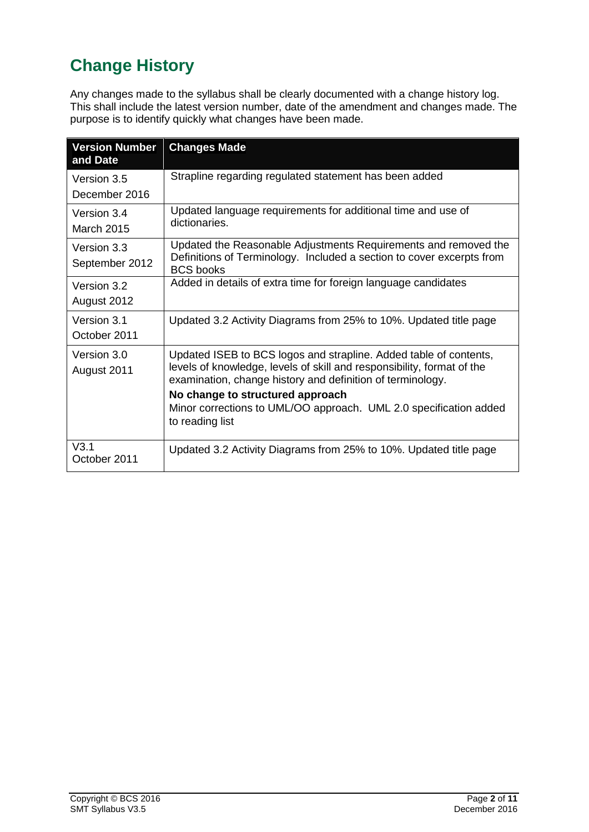# <span id="page-1-0"></span>**Change History**

Any changes made to the syllabus shall be clearly documented with a change history log. This shall include the latest version number, date of the amendment and changes made. The purpose is to identify quickly what changes have been made.

| <b>Version Number</b><br>and Date | <b>Changes Made</b>                                                                                                                                                                                                                                                                                                                   |
|-----------------------------------|---------------------------------------------------------------------------------------------------------------------------------------------------------------------------------------------------------------------------------------------------------------------------------------------------------------------------------------|
| Version 3.5<br>December 2016      | Strapline regarding regulated statement has been added                                                                                                                                                                                                                                                                                |
| Version 3.4<br><b>March 2015</b>  | Updated language requirements for additional time and use of<br>dictionaries.                                                                                                                                                                                                                                                         |
| Version 3.3<br>September 2012     | Updated the Reasonable Adjustments Requirements and removed the<br>Definitions of Terminology. Included a section to cover excerpts from<br><b>BCS</b> books                                                                                                                                                                          |
| Version 3.2<br>August 2012        | Added in details of extra time for foreign language candidates                                                                                                                                                                                                                                                                        |
| Version 3.1<br>October 2011       | Updated 3.2 Activity Diagrams from 25% to 10%. Updated title page                                                                                                                                                                                                                                                                     |
| Version 3.0<br>August 2011        | Updated ISEB to BCS logos and strapline. Added table of contents,<br>levels of knowledge, levels of skill and responsibility, format of the<br>examination, change history and definition of terminology.<br>No change to structured approach<br>Minor corrections to UML/OO approach. UML 2.0 specification added<br>to reading list |
| V3.1<br>October 2011              | Updated 3.2 Activity Diagrams from 25% to 10%. Updated title page                                                                                                                                                                                                                                                                     |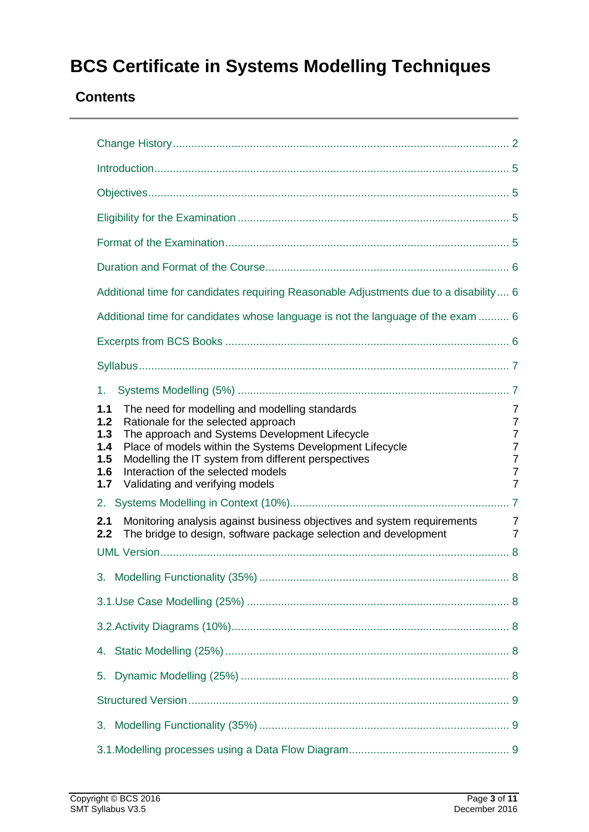# **BCS Certificate in Systems Modelling Techniques**

### **Contents**

| Additional time for candidates requiring Reasonable Adjustments due to a disability 6                                                                                                                                                                                                                                                                                                |                                              |  |  |  |
|--------------------------------------------------------------------------------------------------------------------------------------------------------------------------------------------------------------------------------------------------------------------------------------------------------------------------------------------------------------------------------------|----------------------------------------------|--|--|--|
| Additional time for candidates whose language is not the language of the exam  6                                                                                                                                                                                                                                                                                                     |                                              |  |  |  |
|                                                                                                                                                                                                                                                                                                                                                                                      |                                              |  |  |  |
|                                                                                                                                                                                                                                                                                                                                                                                      |                                              |  |  |  |
| 1.                                                                                                                                                                                                                                                                                                                                                                                   |                                              |  |  |  |
| The need for modelling and modelling standards<br>1.1<br>Rationale for the selected approach<br>1.2<br>The approach and Systems Development Lifecycle<br>1.3<br>Place of models within the Systems Development Lifecycle<br>1.4<br>Modelling the IT system from different perspectives<br>1.5<br>Interaction of the selected models<br>1.6<br>Validating and verifying models<br>1.7 | 7<br>7<br>7<br>7<br>7<br>7<br>$\overline{7}$ |  |  |  |
| 2.                                                                                                                                                                                                                                                                                                                                                                                   |                                              |  |  |  |
| Monitoring analysis against business objectives and system requirements<br>2.1<br>The bridge to design, software package selection and development<br>2.2                                                                                                                                                                                                                            | 7<br>7                                       |  |  |  |
|                                                                                                                                                                                                                                                                                                                                                                                      |                                              |  |  |  |
|                                                                                                                                                                                                                                                                                                                                                                                      |                                              |  |  |  |
|                                                                                                                                                                                                                                                                                                                                                                                      |                                              |  |  |  |
|                                                                                                                                                                                                                                                                                                                                                                                      |                                              |  |  |  |
|                                                                                                                                                                                                                                                                                                                                                                                      |                                              |  |  |  |
| 5.                                                                                                                                                                                                                                                                                                                                                                                   |                                              |  |  |  |
|                                                                                                                                                                                                                                                                                                                                                                                      |                                              |  |  |  |
| 3.                                                                                                                                                                                                                                                                                                                                                                                   |                                              |  |  |  |
|                                                                                                                                                                                                                                                                                                                                                                                      |                                              |  |  |  |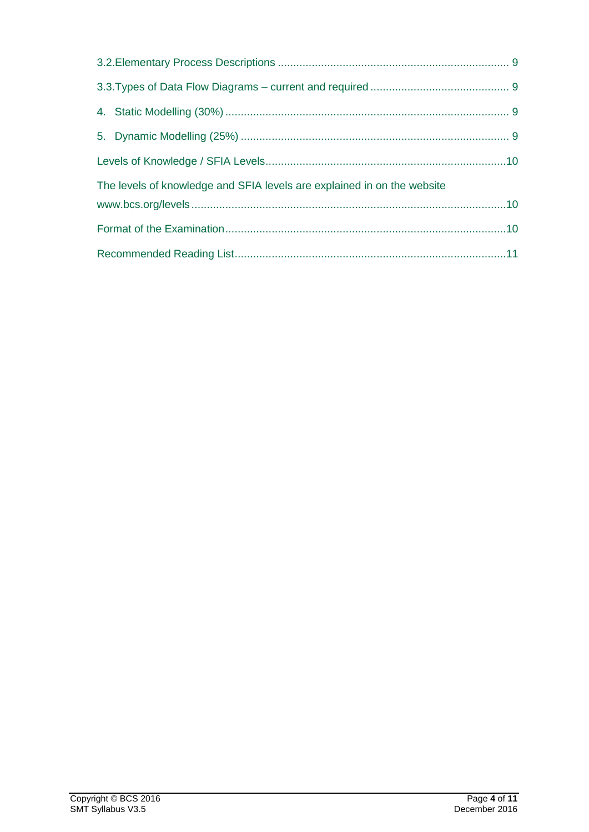| The levels of knowledge and SFIA levels are explained in on the website |  |  |
|-------------------------------------------------------------------------|--|--|
|                                                                         |  |  |
|                                                                         |  |  |
|                                                                         |  |  |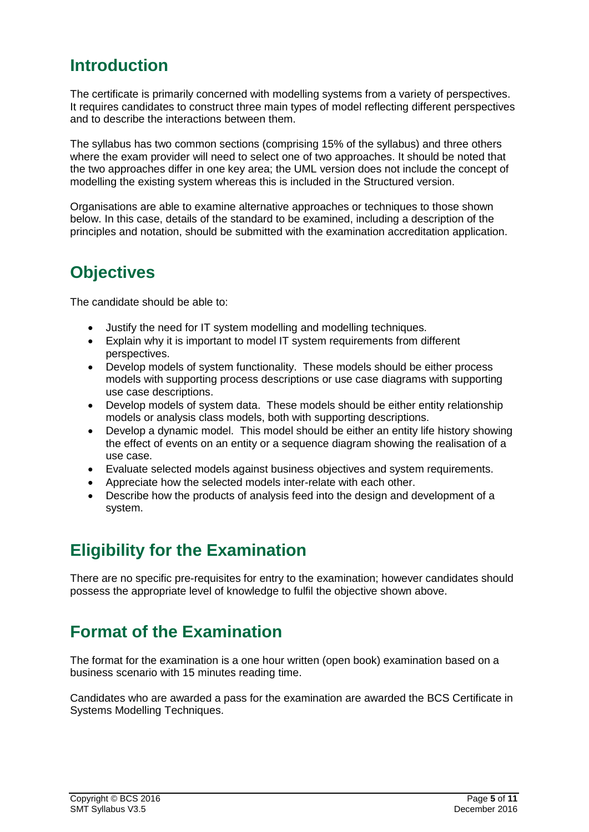# <span id="page-4-0"></span>**Introduction**

The certificate is primarily concerned with modelling systems from a variety of perspectives. It requires candidates to construct three main types of model reflecting different perspectives and to describe the interactions between them.

The syllabus has two common sections (comprising 15% of the syllabus) and three others where the exam provider will need to select one of two approaches. It should be noted that the two approaches differ in one key area; the UML version does not include the concept of modelling the existing system whereas this is included in the Structured version.

Organisations are able to examine alternative approaches or techniques to those shown below. In this case, details of the standard to be examined, including a description of the principles and notation, should be submitted with the examination accreditation application.

# <span id="page-4-1"></span>**Objectives**

The candidate should be able to:

- Justify the need for IT system modelling and modelling techniques.
- Explain why it is important to model IT system requirements from different perspectives.
- Develop models of system functionality. These models should be either process models with supporting process descriptions or use case diagrams with supporting use case descriptions.
- Develop models of system data. These models should be either entity relationship models or analysis class models, both with supporting descriptions.
- Develop a dynamic model. This model should be either an entity life history showing the effect of events on an entity or a sequence diagram showing the realisation of a use case.
- Evaluate selected models against business objectives and system requirements.
- Appreciate how the selected models inter-relate with each other.
- Describe how the products of analysis feed into the design and development of a system.

## <span id="page-4-2"></span>**Eligibility for the Examination**

There are no specific pre-requisites for entry to the examination; however candidates should possess the appropriate level of knowledge to fulfil the objective shown above.

# <span id="page-4-3"></span>**Format of the Examination**

The format for the examination is a one hour written (open book) examination based on a business scenario with 15 minutes reading time.

Candidates who are awarded a pass for the examination are awarded the BCS Certificate in Systems Modelling Techniques.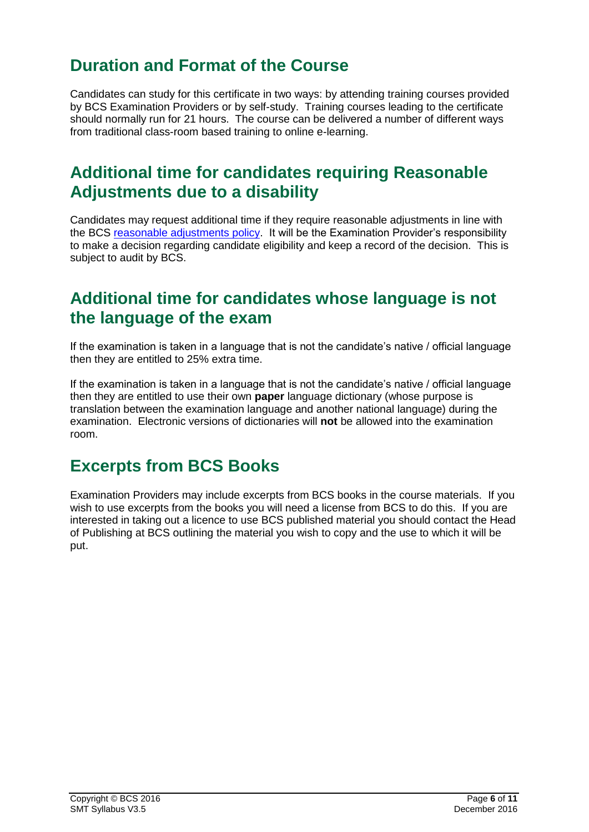# <span id="page-5-0"></span>**Duration and Format of the Course**

Candidates can study for this certificate in two ways: by attending training courses provided by BCS Examination Providers or by self-study. Training courses leading to the certificate should normally run for 21 hours. The course can be delivered a number of different ways from traditional class-room based training to online e-learning.

### <span id="page-5-1"></span>**Additional time for candidates requiring Reasonable Adjustments due to a disability**

Candidates may request additional time if they require reasonable adjustments in line with the BCS [reasonable adjustments policy.](../../../Master%20Policies/PDS%20Pol%2001%20V6.0%20(Approved)%20Reasonable%20Adjustments%20Policy.doc) It will be the Examination Provider's responsibility to make a decision regarding candidate eligibility and keep a record of the decision. This is subject to audit by BCS.

### <span id="page-5-2"></span>**Additional time for candidates whose language is not the language of the exam**

If the examination is taken in a language that is not the candidate's native / official language then they are entitled to 25% extra time.

If the examination is taken in a language that is not the candidate's native / official language then they are entitled to use their own **paper** language dictionary (whose purpose is translation between the examination language and another national language) during the examination. Electronic versions of dictionaries will **not** be allowed into the examination room.

### <span id="page-5-3"></span>**Excerpts from BCS Books**

Examination Providers may include excerpts from BCS books in the course materials. If you wish to use excerpts from the books you will need a license from BCS to do this. If you are interested in taking out a licence to use BCS published material you should contact the Head of Publishing at BCS outlining the material you wish to copy and the use to which it will be put.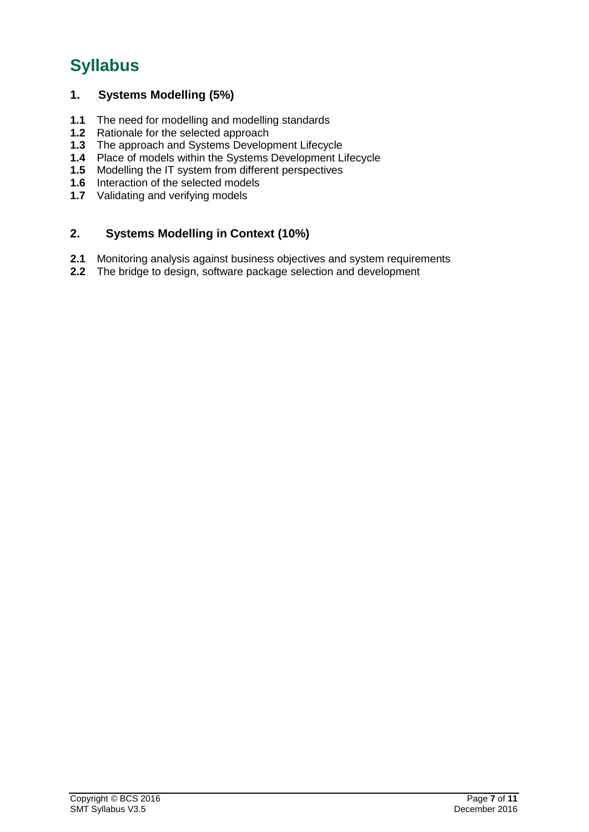# <span id="page-6-0"></span>**Syllabus**

### <span id="page-6-1"></span>**1. Systems Modelling (5%)**

- <span id="page-6-2"></span>**1.1** The need for modelling and modelling standards
- <span id="page-6-3"></span>**1.2** Rationale for the selected approach
- <span id="page-6-4"></span>**1.3** The approach and Systems Development Lifecycle
- <span id="page-6-5"></span>**1.4** Place of models within the Systems Development Lifecycle
- <span id="page-6-6"></span>**1.5** Modelling the IT system from different perspectives
- <span id="page-6-7"></span>**1.6** Interaction of the selected models
- <span id="page-6-8"></span>**1.7** Validating and verifying models

### <span id="page-6-9"></span>**2. Systems Modelling in Context (10%)**

- <span id="page-6-10"></span>**2.1** Monitoring analysis against business objectives and system requirements
- <span id="page-6-11"></span>**2.2** The bridge to design, software package selection and development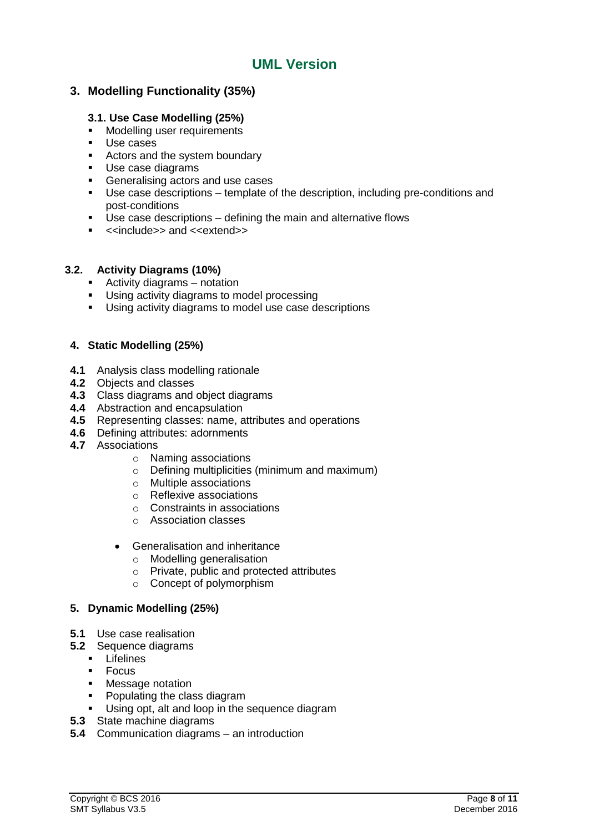### **UML Version**

### <span id="page-7-1"></span><span id="page-7-0"></span>**3. Modelling Functionality (35%)**

#### <span id="page-7-2"></span>**3.1. Use Case Modelling (25%)**

- **Modelling user requirements**
- **Use cases**
- Actors and the system boundary
- Use case diagrams
- **Generalising actors and use cases**
- Use case descriptions template of the description, including pre-conditions and post-conditions
- Use case descriptions defining the main and alternative flows
- <<include>> and <<extend>>

#### <span id="page-7-3"></span>**3.2. Activity Diagrams (10%)**

- Activity diagrams notation
- **Using activity diagrams to model processing**
- Using activity diagrams to model use case descriptions

### <span id="page-7-4"></span>**4. Static Modelling (25%)**

- **4.1** Analysis class modelling rationale
- **4.2** Objects and classes
- **4.3** Class diagrams and object diagrams
- **4.4** Abstraction and encapsulation
- **4.5** Representing classes: name, attributes and operations
- **4.6** Defining attributes: adornments
- **4.7** Associations
	- o Naming associations
	- o Defining multiplicities (minimum and maximum)
	- o Multiple associations
	- o Reflexive associations
	- o Constraints in associations
	- o Association classes
	- Generalisation and inheritance
		- o Modelling generalisation
		- o Private, public and protected attributes
		- o Concept of polymorphism

#### <span id="page-7-5"></span>**5. Dynamic Modelling (25%)**

- **5.1** Use case realisation
- **5.2** Sequence diagrams
	- $\blacksquare$  Lifelines
	- Focus
	- **Message notation**
	- Populating the class diagram
	- Using opt, alt and loop in the sequence diagram
- **5.3** State machine diagrams
- **5.4** Communication diagrams an introduction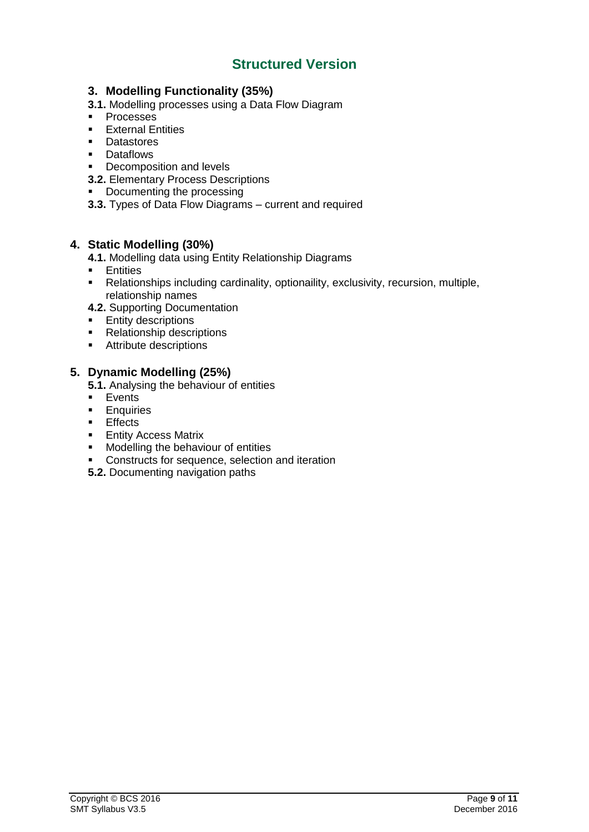### **Structured Version**

### <span id="page-8-1"></span><span id="page-8-0"></span>**3. Modelling Functionality (35%)**

- <span id="page-8-2"></span>**3.1.** Modelling processes using a Data Flow Diagram
- **Processes**
- **External Entities**
- **Datastores**
- **-** Dataflows
- Decomposition and levels
- <span id="page-8-3"></span>**3.2.** Elementary Process Descriptions
- **•** Documenting the processing
- <span id="page-8-4"></span>**3.3.** Types of Data Flow Diagrams – current and required

### <span id="page-8-5"></span>**4. Static Modelling (30%)**

- **4.1.** Modelling data using Entity Relationship Diagrams
- **Entities**
- Relationships including cardinality, optionaility, exclusivity, recursion, multiple, relationship names
- **4.2.** Supporting Documentation
- $\blacksquare$  Entity descriptions
- **Relationship descriptions**
- **Attribute descriptions**

### <span id="page-8-6"></span>**5. Dynamic Modelling (25%)**

**5.1.** Analysing the behaviour of entities

- **Events**
- **Enquiries**
- **Effects**
- **Entity Access Matrix**
- **Modelling the behaviour of entities**
- **Constructs for sequence, selection and iteration**
- **5.2.** Documenting navigation paths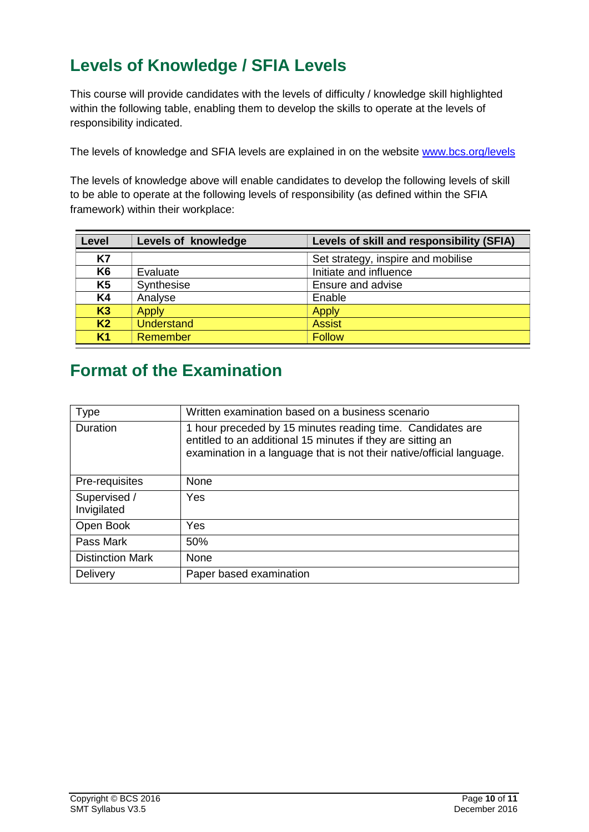# <span id="page-9-0"></span>**Levels of Knowledge / SFIA Levels**

This course will provide candidates with the levels of difficulty / knowledge skill highlighted within the following table, enabling them to develop the skills to operate at the levels of responsibility indicated.

<span id="page-9-1"></span>The levels of knowledge and SFIA levels are explained in on the website [www.bcs.org/levels](http://www.bcs.org/levels)

The levels of knowledge above will enable candidates to develop the following levels of skill to be able to operate at the following levels of responsibility (as defined within the SFIA framework) within their workplace:

| Level          | Levels of knowledge | Levels of skill and responsibility (SFIA) |
|----------------|---------------------|-------------------------------------------|
| <b>K7</b>      |                     | Set strategy, inspire and mobilise        |
| K <sub>6</sub> | Evaluate            | Initiate and influence                    |
| K <sub>5</sub> | Synthesise          | Ensure and advise                         |
| <b>K4</b>      | Analyse             | Enable                                    |
| K3             | <b>Apply</b>        | <b>Apply</b>                              |
| K <sub>2</sub> | <b>Understand</b>   | <b>Assist</b>                             |
| K <sub>1</sub> | Remember            | <b>Follow</b>                             |

### <span id="page-9-2"></span>**Format of the Examination**

| Type                        | Written examination based on a business scenario                                                                                                                                                   |  |
|-----------------------------|----------------------------------------------------------------------------------------------------------------------------------------------------------------------------------------------------|--|
| <b>Duration</b>             | 1 hour preceded by 15 minutes reading time. Candidates are<br>entitled to an additional 15 minutes if they are sitting an<br>examination in a language that is not their native/official language. |  |
| Pre-requisites              | None                                                                                                                                                                                               |  |
| Supervised /<br>Invigilated | Yes                                                                                                                                                                                                |  |
| Open Book                   | Yes                                                                                                                                                                                                |  |
| Pass Mark                   | 50%                                                                                                                                                                                                |  |
| <b>Distinction Mark</b>     | None                                                                                                                                                                                               |  |
| Delivery                    | Paper based examination                                                                                                                                                                            |  |